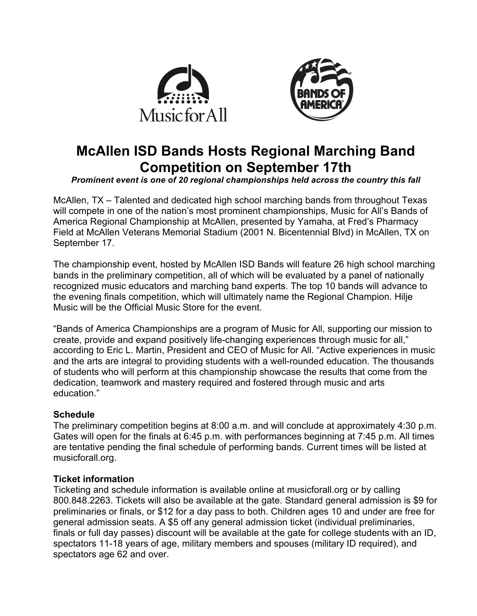



# **McAllen ISD Bands Hosts Regional Marching Band Competition on September 17th**

# *Prominent event is one of 20 regional championships held across the country this fall*

McAllen, TX – Talented and dedicated high school marching bands from throughout Texas will compete in one of the nation's most prominent championships, Music for All's Bands of America Regional Championship at McAllen, presented by Yamaha, at Fred's Pharmacy Field at McAllen Veterans Memorial Stadium (2001 N. Bicentennial Blvd) in McAllen, TX on September 17.

The championship event, hosted by McAllen ISD Bands will feature 26 high school marching bands in the preliminary competition, all of which will be evaluated by a panel of nationally recognized music educators and marching band experts. The top 10 bands will advance to the evening finals competition, which will ultimately name the Regional Champion. Hilje Music will be the Official Music Store for the event.

"Bands of America Championships are a program of Music for All, supporting our mission to create, provide and expand positively life-changing experiences through music for all," according to Eric L. Martin, President and CEO of Music for All. "Active experiences in music and the arts are integral to providing students with a well-rounded education. The thousands of students who will perform at this championship showcase the results that come from the dedication, teamwork and mastery required and fostered through music and arts education."

## **Schedule**

The preliminary competition begins at 8:00 a.m. and will conclude at approximately 4:30 p.m. Gates will open for the finals at 6:45 p.m. with performances beginning at 7:45 p.m. All times are tentative pending the final schedule of performing bands. Current times will be listed at musicforall.org.

## **Ticket information**

Ticketing and schedule information is available online at musicforall.org or by calling 800.848.2263. Tickets will also be available at the gate. Standard general admission is \$9 for preliminaries or finals, or \$12 for a day pass to both. Children ages 10 and under are free for general admission seats. A \$5 off any general admission ticket (individual preliminaries, finals or full day passes) discount will be available at the gate for college students with an ID, spectators 11-18 years of age, military members and spouses (military ID required), and spectators age 62 and over.